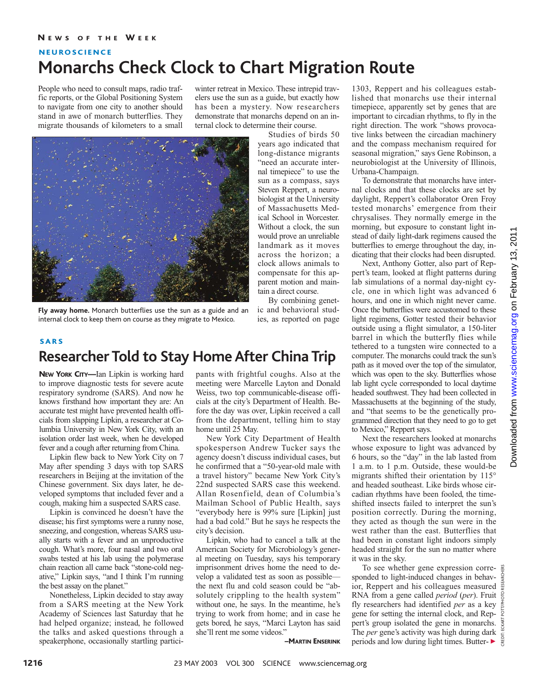# **Monarchs Check Clock to Chart Migration Route** NEUROSCIENCE

People who need to consult maps, radio traffic reports, or the Global Positioning System to navigate from one city to another should stand in awe of monarch butterflies. They migrate thousands of kilometers to a small

winter retreat in Mexico. These intrepid travelers use the sun as a guide, but exactly how has been a mystery. Now researchers demonstrate that monarchs depend on an internal clock to determine their course. Studies of birds 50



**Fly away home.** Monarch butterflies use the sun as a guide and an internal clock to keep them on course as they migrate to Mexico.

### **Researcher Told to Stay Home After China Trip** SARS

NEW YORK CITY—Ian Lipkin is working hard to improve diagnostic tests for severe acute respiratory syndrome (SARS). And now he knows firsthand how important they are: An accurate test might have prevented health officials from slapping Lipkin, a researcher at Columbia University in New York City, with an isolation order last week, when he developed fever and a cough after returning from China.

Lipkin flew back to New York City on 7 May after spending 3 days with top SARS researchers in Beijing at the invitation of the Chinese government. Six days later, he developed symptoms that included fever and a cough, making him a suspected SARS case.

Lipkin is convinced he doesn't have the disease; his first symptoms were a runny nose, sneezing, and congestion, whereas SARS usually starts with a fever and an unproductive cough. What's more, four nasal and two oral swabs tested at his lab using the polymerase chain reaction all came back "stone-cold negative," Lipkin says, "and I think I'm running the best assay on the planet."

Nonetheless, Lipkin decided to stay away from a SARS meeting at the New York Academy of Sciences last Saturday that he had helped organize; instead, he followed the talks and asked questions through a speakerphone, occasionally startling participants with frightful coughs. Also at the meeting were Marcelle Layton and Donald Weiss, two top communicable-disease officials at the city's Department of Health. Before the day was over, Lipkin received a call from the department, telling him to stay home until 25 May.

By combining genet-

ies, as reported on page

New York City Department of Health spokesperson Andrew Tucker says the agency doesn't discuss individual cases, but he confirmed that a "50-year-old male with a travel history" became New York City's 22nd suspected SARS case this weekend. Allan Rosenfield, dean of Columbia's Mailman School of Public Health, says "everybody here is 99% sure [Lipkin] just had a bad cold." But he says he respects the city's decision.

Lipkin, who had to cancel a talk at the American Society for Microbiology's general meeting on Tuesday, says his temporary imprisonment drives home the need to develop a validated test as soon as possible the next flu and cold season could be "absolutely crippling to the health system" without one, he says. In the meantime, he's trying to work from home; and in case he gets bored, he says, "Marci Layton has said she'll rent me some videos."

–MARTIN ENSERINK

1303, Reppert and his colleagues established that monarchs use their internal timepiece, apparently set by genes that are important to circadian rhythms, to fly in the right direction. The work "shows provocative links between the circadian machinery and the compass mechanism required for seasonal migration," says Gene Robinson, a neurobiologist at the University of Illinois, Urbana-Champaign.

To demonstrate that monarchs have internal clocks and that these clocks are set by daylight, Reppert's collaborator Oren Froy tested monarchs' emergence from their chrysalises. They normally emerge in the morning, but exposure to constant light instead of daily light-dark regimens caused the butterflies to emerge throughout the day, indicating that their clocks had been disrupted.

Next, Anthony Gotter, also part of Reppert's team, looked at flight patterns during lab simulations of a normal day-night cycle, one in which light was advanced 6 hours, and one in which night never came. Once the butterflies were accustomed to these light regimens, Gotter tested their behavior outside using a flight simulator, a 150-liter barrel in which the butterfly flies while tethered to a tungsten wire connected to a computer. The monarchs could track the sun's path as it moved over the top of the simulator, which was open to the sky. Butterflies whose lab light cycle corresponded to local daytime headed southwest. They had been collected in Massachusetts at the beginning of the study, and "that seems to be the genetically programmed direction that they need to go to get to Mexico," Reppert says.

Next the researchers looked at monarchs whose exposure to light was advanced by 6 hours, so the "day" in the lab lasted from 1 a.m. to 1 p.m. Outside, these would-be migrants shifted their orientation by 115° and headed southeast. Like birds whose circadian rhythms have been fooled, the timeshifted insects failed to interpret the sun's position correctly. During the morning, they acted as though the sun were in the west rather than the east. Butterflies that had been in constant light indoors simply headed straight for the sun no matter where it was in the sky.

To see whether gene expression corresponded to light-induced changes in behavior, Reppert and his colleagues measured RNA from a gene called *period* (*per*). Fruit fly researchers had identified *per* as a key gene for setting the internal clock, and Rep- $\frac{5}{2}$ pert's group isolated the gene in monarchs.  $\frac{2}{3}$ The *per* gene's activity was high during dark periods and low during light times. Butter- ▶

CREDIT: ECKART POTT/PHOTO RESEARCHERS